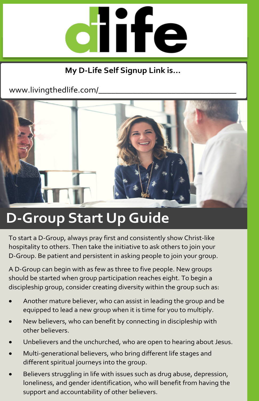

## **My D-Life Self Signup Link is…**

www.livingthedlife.com/



# **D-Group Start Up Guide**

To start a D-Group, always pray first and consistently show Christ-like hospitality to others. Then take the initiative to ask others to join your D-Group. Be patient and persistent in asking people to join your group.

A D-Group can begin with as few as three to five people. New groups should be started when group participation reaches eight. To begin a discipleship group, consider creating diversity within the group such as:

- Another mature believer, who can assist in leading the group and be equipped to lead a new group when it is time for you to multiply.
- New believers, who can benefit by connecting in discipleship with other believers.
- Unbelievers and the unchurched, who are open to hearing about Jesus.
- Multi-generational believers, who bring different life stages and different spiritual journeys into the group.
- Believers struggling in life with issues such as drug abuse, depression, loneliness, and gender identification, who will benefit from having the support and accountability of other believers.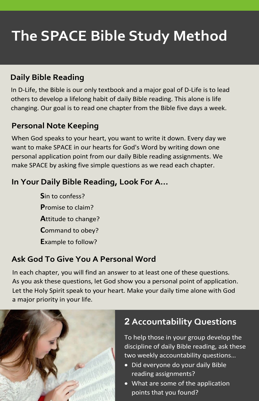# **The SPACE Bible Study Method**

## **Daily Bible Reading**

In D-Life, the Bible is our only textbook and a major goal of D-Life is to lead others to develop a lifelong habit of daily Bible reading. This alone is life changing. Our goal is to read one chapter from the Bible five days a week.

### **Personal Note Keeping**

When God speaks to your heart, you want to write it down. Every day we want to make SPACE in our hearts for God's Word by writing down one personal application point from our daily Bible reading assignments. We make SPACE by asking five simple questions as we read each chapter.

### **In Your Daily Bible Reading, Look For A…**

**S**in to confess? **P**romise to claim? **A**ttitude to change? **C**ommand to obey? **E**xample to follow?

### **Ask God To Give You A Personal Word**

In each chapter, you will find an answer to at least one of these questions. As you ask these questions, let God show you a personal point of application. Let the Holy Spirit speak to your heart. Make your daily time alone with God a major priority in your life.



## **2 Accountability Questions**

To help those in your group develop the discipline of daily Bible reading, ask these two weekly accountability questions…

- Did everyone do your daily Bible reading assignments?
- What are some of the application points that you found?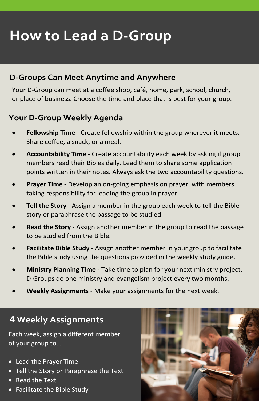# **How to Lead a D-Group**

#### **D-Groups Can Meet Anytime and Anywhere**

Your D-Group can meet at a coffee shop, café, home, park, school, church, or place of business. Choose the time and place that is best for your group.

#### **Your D-Group Weekly Agenda**

- **Fellowship Time** Create fellowship within the group wherever it meets. Share coffee, a snack, or a meal.
- **Accountability Time** Create accountability each week by asking if group members read their Bibles daily. Lead them to share some application points written in their notes. Always ask the two accountability questions.
- **Prayer Time** Develop an on-going emphasis on prayer, with members taking responsibility for leading the group in prayer.
- **Tell the Story** Assign a member in the group each week to tell the Bible story or paraphrase the passage to be studied.
- **Read the Story** Assign another member in the group to read the passage to be studied from the Bible.
- **Facilitate Bible Study** Assign another member in your group to facilitate the Bible study using the questions provided in the weekly study guide.
- **Ministry Planning Time** Take time to plan for your next ministry project. D-Groups do one ministry and evangelism project every two months.
- **Weekly Assignments** Make your assignments for the next week.

## **4 Weekly Assignments**

Each week, assign a different member of your group to…

- Lead the Prayer Time
- Tell the Story or Paraphrase the Text
- Read the Text
- Facilitate the Bible Study